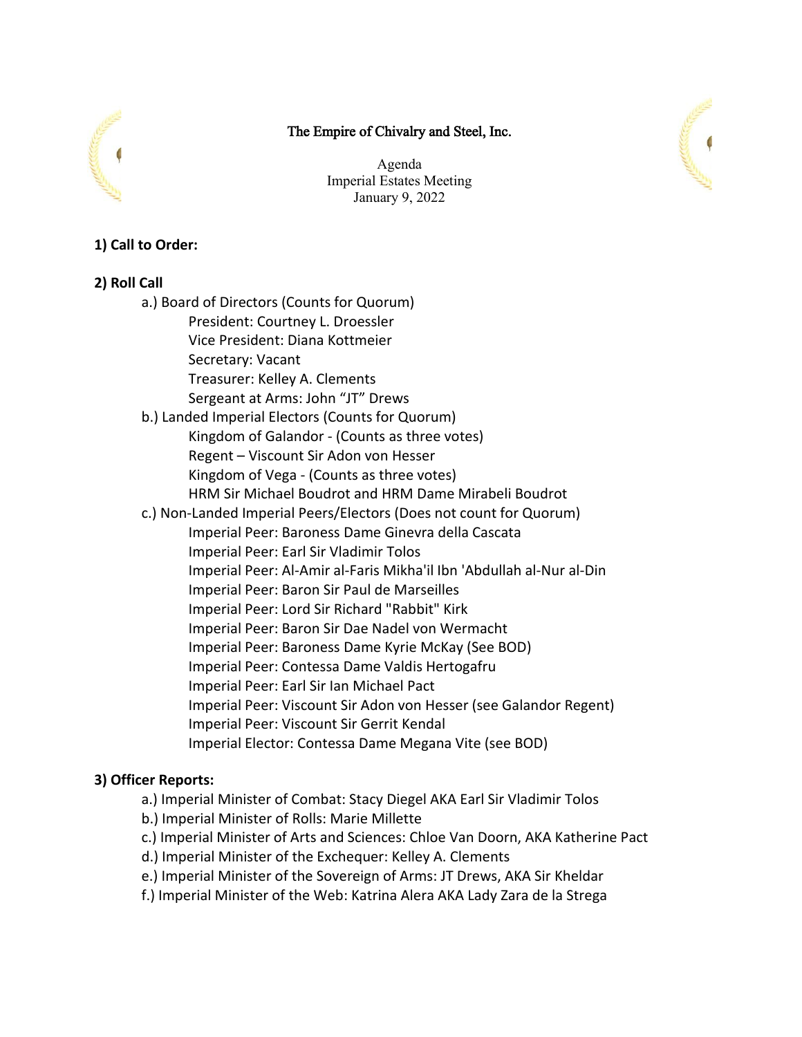#### The Empire of Chivalry and Steel, Inc.



Agenda Imperial Estates Meeting January 9, 2022

# **1) Call to Order:**

### **2) Roll Call**

a.) Board of Directors (Counts for Quorum) President: Courtney L. Droessler Vice President: Diana Kottmeier Secretary: Vacant Treasurer: Kelley A. Clements Sergeant at Arms: John "JT" Drews

b.) Landed Imperial Electors (Counts for Quorum) Kingdom of Galandor - (Counts as three votes) Regent – Viscount Sir Adon von Hesser Kingdom of Vega - (Counts as three votes) HRM Sir Michael Boudrot and HRM Dame Mirabeli Boudrot

c.) Non-Landed Imperial Peers/Electors (Does not count for Quorum) Imperial Peer: Baroness Dame Ginevra della Cascata Imperial Peer: Earl Sir Vladimir Tolos Imperial Peer: Al-Amir al-Faris Mikha'il Ibn 'Abdullah al-Nur al-Din Imperial Peer: Baron Sir Paul de Marseilles Imperial Peer: Lord Sir Richard "Rabbit" Kirk Imperial Peer: Baron Sir Dae Nadel von Wermacht Imperial Peer: Baroness Dame Kyrie McKay (See BOD) Imperial Peer: Contessa Dame Valdis Hertogafru Imperial Peer: Earl Sir Ian Michael Pact Imperial Peer: Viscount Sir Adon von Hesser (see Galandor Regent) Imperial Peer: Viscount Sir Gerrit Kendal Imperial Elector: Contessa Dame Megana Vite (see BOD)

### **3) Officer Reports:**

a.) Imperial Minister of Combat: Stacy Diegel AKA Earl Sir Vladimir Tolos

- b.) Imperial Minister of Rolls: Marie Millette
- c.) Imperial Minister of Arts and Sciences: Chloe Van Doorn, AKA Katherine Pact
- d.) Imperial Minister of the Exchequer: Kelley A. Clements
- e.) Imperial Minister of the Sovereign of Arms: JT Drews, AKA Sir Kheldar
- f.) Imperial Minister of the Web: Katrina Alera AKA Lady Zara de la Strega